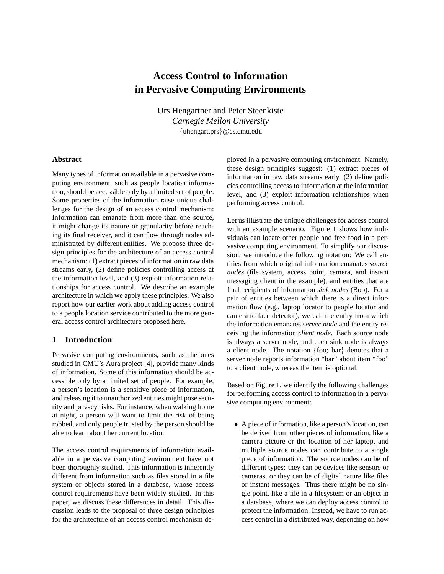# **Access Control to Information in Pervasive Computing Environments**

Urs Hengartner and Peter Steenkiste *Carnegie Mellon University* {uhengart,prs}@cs.cmu.edu

#### **Abstract**

Many types of information available in a pervasive computing environment, such as people location information, should be accessible only by a limited set of people. Some properties of the information raise unique challenges for the design of an access control mechanism: Information can emanate from more than one source, it might change its nature or granularity before reaching its final receiver, and it can flow through nodes administrated by different entities. We propose three design principles for the architecture of an access control mechanism: (1) extract pieces of information in raw data streams early, (2) define policies controlling access at the information level, and (3) exploit information relationships for access control. We describe an example architecture in which we apply these principles. We also report how our earlier work about adding access control to a people location service contributed to the more general access control architecture proposed here.

## **1 Introduction**

Pervasive computing environments, such as the ones studied in CMU's Aura project [4], provide many kinds of information. Some of this information should be accessible only by a limited set of people. For example, a person's location is a sensitive piece of information, and releasing it to unauthorized entities might pose security and privacy risks. For instance, when walking home at night, a person will want to limit the risk of being robbed, and only people trusted by the person should be able to learn about her current location.

The access control requirements of information available in a pervasive computing environment have not been thoroughly studied. This information is inherently different from information such as files stored in a file system or objects stored in a database, whose access control requirements have been widely studied. In this paper, we discuss these differences in detail. This discussion leads to the proposal of three design principles for the architecture of an access control mechanism deployed in a pervasive computing environment. Namely, these design principles suggest: (1) extract pieces of information in raw data streams early, (2) define policies controlling access to information at the information level, and (3) exploit information relationships when performing access control.

Let us illustrate the unique challenges for access control with an example scenario. Figure 1 shows how individuals can locate other people and free food in a pervasive computing environment. To simplify our discussion, we introduce the following notation: We call entities from which original information emanates *source nodes* (file system, access point, camera, and instant messaging client in the example), and entities that are final recipients of information *sink nodes* (Bob). For a pair of entities between which there is a direct information flow (e.g., laptop locator to people locator and camera to face detector), we call the entity from which the information emanates *server node* and the entity receiving the information *client node*. Each source node is always a server node, and each sink node is always a client node. The notation {foo; bar} denotes that a server node reports information "bar" about item "foo" to a client node, whereas the item is optional.

Based on Figure 1, we identify the following challenges for performing access control to information in a pervasive computing environment:

• A piece of information, like a person's location, can be derived from other pieces of information, like a camera picture or the location of her laptop, and multiple source nodes can contribute to a single piece of information. The source nodes can be of different types: they can be devices like sensors or cameras, or they can be of digital nature like files or instant messages. Thus there might be no single point, like a file in a filesystem or an object in a database, where we can deploy access control to protect the information. Instead, we have to run access control in a distributed way, depending on how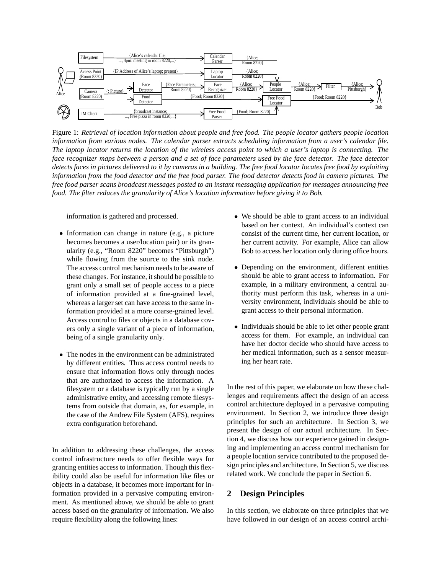

Figure 1: *Retrieval of location information about people and free food. The people locator gathers people location information from various nodes. The calendar parser extracts scheduling information from a user's calendar file.* The laptop locator returns the location of the wireless access point to which a user's laptop is connecting. The face recognizer maps between a person and a set of face parameters used by the face detector. The face detector detects faces in pictures delivered to it by cameras in a building. The free food locator locates free food by exploiting information from the food detector and the free food parser. The food detector detects food in camera pictures. The free food parser scans broadcast messages posted to an instant messaging application for messages announcing free *food. The filter reduces the granularity of Alice's location information before giving it to Bob.*

information is gathered and processed.

- Information can change in nature (e.g., a picture becomes becomes a user/location pair) or its granularity (e.g., "Room 8220" becomes "Pittsburgh") while flowing from the source to the sink node. The access control mechanism needs to be aware of these changes. For instance, it should be possible to grant only a small set of people access to a piece of information provided at a fine-grained level, whereas a larger set can have access to the same information provided at a more coarse-grained level. Access control to files or objects in a database covers only a single variant of a piece of information, being of a single granularity only.
- The nodes in the environment can be administrated by different entities. Thus access control needs to ensure that information flows only through nodes that are authorized to access the information. A filesystem or a database is typically run by a single administrative entity, and accessing remote filesystems from outside that domain, as, for example, in the case of the Andrew File System (AFS), requires extra configuration beforehand.

In addition to addressing these challenges, the access control infrastructure needs to offer flexible ways for granting entities access to information. Though this flexibility could also be useful for information like files or objects in a database, it becomes more important for information provided in a pervasive computing environment. As mentioned above, we should be able to grant access based on the granularity of information. We also require flexibility along the following lines:

- We should be able to grant access to an individual based on her context. An individual's context can consist of the current time, her current location, or her current activity. For example, Alice can allow Bob to access her location only during office hours.
- Depending on the environment, different entities should be able to grant access to information. For example, in a military environment, a central authority must perform this task, whereas in a university environment, individuals should be able to grant access to their personal information.
- Individuals should be able to let other people grant access for them. For example, an individual can have her doctor decide who should have access to her medical information, such as a sensor measuring her heart rate.

In the rest of this paper, we elaborate on how these challenges and requirements affect the design of an access control architecture deployed in a pervasive computing environment. In Section 2, we introduce three design principles for such an architecture. In Section 3, we present the design of our actual architecture. In Section 4, we discuss how our experience gained in designing and implementing an access control mechanism for a people location service contributed to the proposed design principles and architecture. In Section 5, we discuss related work. We conclude the paper in Section 6.

## **2 Design Principles**

In this section, we elaborate on three principles that we have followed in our design of an access control archi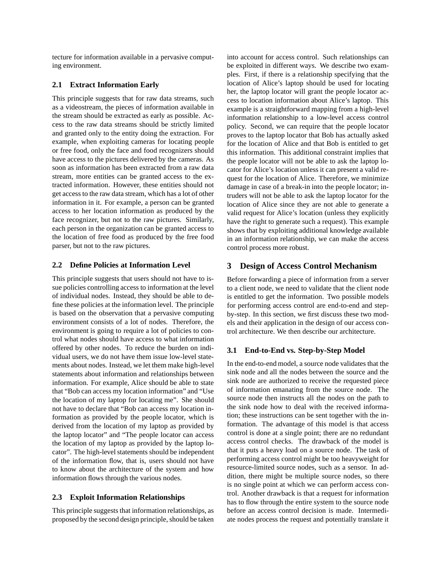tecture for information available in a pervasive computing environment.

#### **2.1 Extract Information Early**

This principle suggests that for raw data streams, such as a videostream, the pieces of information available in the stream should be extracted as early as possible. Access to the raw data streams should be strictly limited and granted only to the entity doing the extraction. For example, when exploiting cameras for locating people or free food, only the face and food recognizers should have access to the pictures delivered by the cameras. As soon as information has been extracted from a raw data stream, more entities can be granted access to the extracted information. However, these entities should not get access to the raw data stream, which has a lot of other information in it. For example, a person can be granted access to her location information as produced by the face recognizer, but not to the raw pictures. Similarly, each person in the organization can be granted access to the location of free food as produced by the free food parser, but not to the raw pictures.

#### **2.2 Define Policies at Information Level**

This principle suggests that users should not have to issue policies controlling access to information at the level of individual nodes. Instead, they should be able to define these policies at the information level. The principle is based on the observation that a pervasive computing environment consists of a lot of nodes. Therefore, the environment is going to require a lot of policies to control what nodes should have access to what information offered by other nodes. To reduce the burden on individual users, we do not have them issue low-level statements about nodes. Instead, we let them make high-level statements about information and relationships between information. For example, Alice should be able to state that "Bob can access my location information" and "Use the location of my laptop for locating me". She should not have to declare that "Bob can access my location information as provided by the people locator, which is derived from the location of my laptop as provided by the laptop locator" and "The people locator can access the location of my laptop as provided by the laptop locator". The high-level statements should be independent of the information flow, that is, users should not have to know about the architecture of the system and how information flows through the various nodes.

#### **2.3 Exploit Information Relationships**

This principle suggests that information relationships, as proposed by the second design principle, should be taken into account for access control. Such relationships can be exploited in different ways. We describe two examples. First, if there is a relationship specifying that the location of Alice's laptop should be used for locating her, the laptop locator will grant the people locator access to location information about Alice's laptop. This example is a straightforward mapping from a high-level information relationship to a low-level access control policy. Second, we can require that the people locator proves to the laptop locator that Bob has actually asked for the location of Alice and that Bob is entitled to get this information. This additional constraint implies that the people locator will not be able to ask the laptop locator for Alice's location unless it can present a valid request for the location of Alice. Therefore, we minimize damage in case of a break-in into the people locator; intruders will not be able to ask the laptop locator for the location of Alice since they are not able to generate a valid request for Alice's location (unless they explicitly have the right to generate such a request). This example shows that by exploiting additional knowledge available in an information relationship, we can make the access control process more robust.

## **3 Design of Access Control Mechanism**

Before forwarding a piece of information from a server to a client node, we need to validate that the client node is entitled to get the information. Two possible models for performing access control are end-to-end and stepby-step. In this section, we first discuss these two models and their application in the design of our access control architecture. We then describe our architecture.

#### **3.1 End-to-End vs. Step-by-Step Model**

In the end-to-end model, a source node validates that the sink node and all the nodes between the source and the sink node are authorized to receive the requested piece of information emanating from the source node. The source node then instructs all the nodes on the path to the sink node how to deal with the received information; these instructions can be sent together with the information. The advantage of this model is that access control is done at a single point; there are no redundant access control checks. The drawback of the model is that it puts a heavy load on a source node. The task of performing access control might be too heavyweight for resource-limited source nodes, such as a sensor. In addition, there might be multiple source nodes, so there is no single point at which we can perform access control. Another drawback is that a request for information has to flow through the entire system to the source node before an access control decision is made. Intermediate nodes process the request and potentially translate it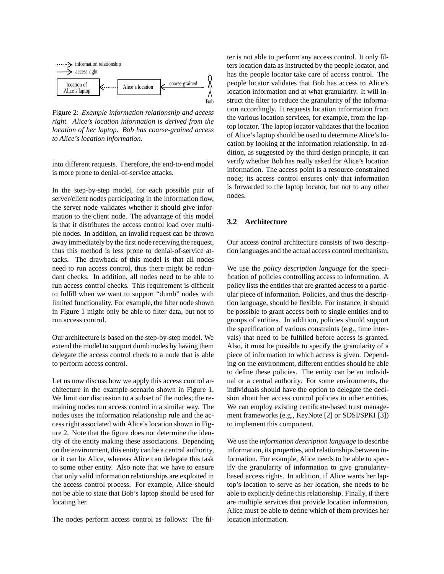

Figure 2: *Example information relationship and access right. Alice's location information is derived from the location of her laptop. Bob has coarse-grained access to Alice's location information.*

into different requests. Therefore, the end-to-end model is more prone to denial-of-service attacks.

In the step-by-step model, for each possible pair of server/client nodes participating in the information flow, the server node validates whether it should give information to the client node. The advantage of this model is that it distributes the access control load over multiple nodes. In addition, an invalid request can be thrown away immediately by the first node receiving the request, thus this method is less prone to denial-of-service attacks. The drawback of this model is that all nodes need to run access control, thus there might be redundant checks. In addition, all nodes need to be able to run access control checks. This requirement is difficult to fulfill when we want to support "dumb" nodes with limited functionality. For example, the filter node shown in Figure 1 might only be able to filter data, but not to run access control.

Our architecture is based on the step-by-step model. We extend the model to support dumb nodes by having them delegate the access control check to a node that is able to perform access control.

Let us now discuss how we apply this access control architecture in the example scenario shown in Figure 1. We limit our discussion to a subset of the nodes; the remaining nodes run access control in a similar way. The nodes uses the information relationship rule and the access right associated with Alice's location shown in Figure 2. Note that the figure does not determine the identity of the entity making these associations. Depending on the environment, this entity can be a central authority, or it can be Alice, whereas Alice can delegate this task to some other entity. Also note that we have to ensure that only valid information relationships are exploited in the access control process. For example, Alice should not be able to state that Bob's laptop should be used for locating her.

The nodes perform access control as follows: The fil-

ter is not able to perform any access control. It only filters location data as instructed by the people locator, and has the people locator take care of access control. The people locator validates that Bob has access to Alice's location information and at what granularity. It will instruct the filter to reduce the granularity of the information accordingly. It requests location information from the various location services, for example, from the laptop locator. The laptop locator validates that the location of Alice's laptop should be used to determine Alice's location by looking at the information relationship. In addition, as suggested by the third design principle, it can verify whether Bob has really asked for Alice's location information. The access point is a resource-constrained node; its access control ensures only that information is forwarded to the laptop locator, but not to any other nodes.

#### **3.2 Architecture**

Our access control architecture consists of two description languages and the actual access control mechanism.

We use the *policy description language* for the specification of policies controlling access to information. A policy lists the entities that are granted access to a particular piece of information. Policies, and thus the description language, should be flexible. For instance, it should be possible to grant access both to single entities and to groups of entities. In addition, policies should support the specification of various constraints (e.g., time intervals) that need to be fulfilled before access is granted. Also, it must be possible to specify the granularity of a piece of information to which access is given. Depending on the environment, different entities should be able to define these policies. The entity can be an individual or a central authority. For some environments, the individuals should have the option to delegate the decision about her access control policies to other entities. We can employ existing certificate-based trust management frameworks (e.g., KeyNote [2] or SDSI/SPKI [3]) to implement this component.

We use the *information description language* to describe information, its properties, and relationships between information. For example, Alice needs to be able to specify the granularity of information to give granularitybased access rights. In addition, if Alice wants her laptop's location to serve as her location, she needs to be able to explicitly define this relationship. Finally, if there are multiple services that provide location information, Alice must be able to define which of them provides her location information.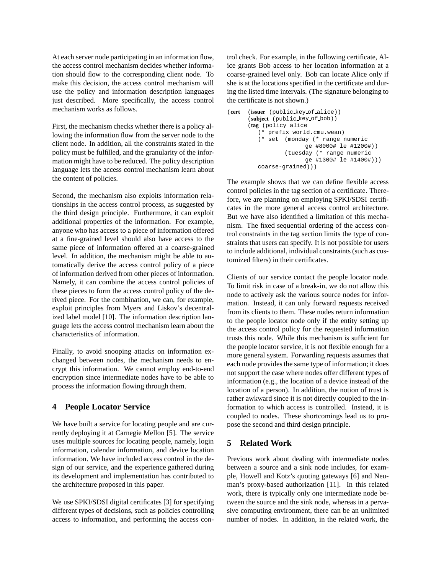At each server node participating in an information flow, the access control mechanism decides whether information should flow to the corresponding client node. To make this decision, the access control mechanism will use the policy and information description languages just described. More specifically, the access control mechanism works as follows.

First, the mechanism checks whether there is a policy allowing the information flow from the server node to the client node. In addition, all the constraints stated in the policy must be fulfilled, and the granularity of the information might have to be reduced. The policy description language lets the access control mechanism learn about the content of policies.

Second, the mechanism also exploits information relationships in the access control process, as suggested by the third design principle. Furthermore, it can exploit additional properties of the information. For example, anyone who has access to a piece of information offered at a fine-grained level should also have access to the same piece of information offered at a coarse-grained level. In addition, the mechanism might be able to automatically derive the access control policy of a piece of information derived from other pieces of information. Namely, it can combine the access control policies of these pieces to form the access control policy of the derived piece. For the combination, we can, for example, exploit principles from Myers and Liskov's decentralized label model [10]. The information description language lets the access control mechanism learn about the characteristics of information.

Finally, to avoid snooping attacks on information exchanged between nodes, the mechanism needs to encrypt this information. We cannot employ end-to-end encryption since intermediate nodes have to be able to process the information flowing through them.

# **4 People Locator Service**

We have built a service for locating people and are currently deploying it at Carnegie Mellon [5]. The service uses multiple sources for locating people, namely, login information, calendar information, and device location information. We have included access control in the design of our service, and the experience gathered during its development and implementation has contributed to the architecture proposed in this paper.

We use SPKI/SDSI digital certificates [3] for specifying different types of decisions, such as policies controlling access to information, and performing the access control check. For example, in the following certificate, Alice grants Bob access to her location information at a coarse-grained level only. Bob can locate Alice only if she is at the locations specified in the certificate and during the listed time intervals. (The signature belonging to the certificate is not shown.)

```
(cert (issuer (public key of alice))
(subject (public key of bob))
(tag (policy alice
  (* prefix world.cmu.wean)
   (* set (monday (* range numeric
                 ge #8000# le #1200#))
           (tuesday (* range numeric
                 ge #1300# le #1400#)))
  coarse-grained)))
```
The example shows that we can define flexible access control policies in the tag section of a certificate. Therefore, we are planning on employing SPKI/SDSI certificates in the more general access control architecture. But we have also identified a limitation of this mechanism. The fixed sequential ordering of the access control constraints in the tag section limits the type of constraints that users can specify. It is not possible for users to include additional, individual constraints (such as customized filters) in their certificates.

Clients of our service contact the people locator node. To limit risk in case of a break-in, we do not allow this node to actively ask the various source nodes for information. Instead, it can only forward requests received from its clients to them. These nodes return information to the people locator node only if the entity setting up the access control policy for the requested information trusts this node. While this mechanism is sufficient for the people locator service, it is not flexible enough for a more general system. Forwarding requests assumes that each node provides the same type of information; it does not support the case where nodes offer different types of information (e.g., the location of a device instead of the location of a person). In addition, the notion of trust is rather awkward since it is not directly coupled to the information to which access is controlled. Instead, it is coupled to nodes. These shortcomings lead us to propose the second and third design principle.

# **5 Related Work**

Previous work about dealing with intermediate nodes between a source and a sink node includes, for example, Howell and Kotz's quoting gateways [6] and Neuman's proxy-based authorization [11]. In this related work, there is typically only one intermediate node between the source and the sink node, whereas in a pervasive computing environment, there can be an unlimited number of nodes. In addition, in the related work, the